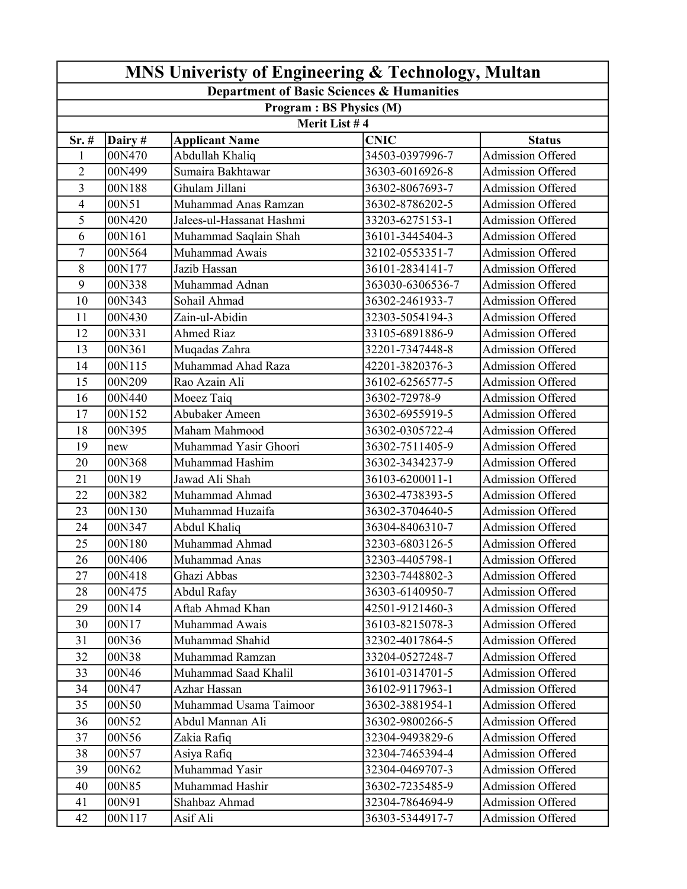| MNS Univeristy of Engineering & Technology, Multan |         |                           |                  |                          |  |  |  |  |
|----------------------------------------------------|---------|---------------------------|------------------|--------------------------|--|--|--|--|
| Department of Basic Sciences & Humanities          |         |                           |                  |                          |  |  |  |  |
| Program: BS Physics (M)                            |         |                           |                  |                          |  |  |  |  |
| Merit List #4                                      |         |                           |                  |                          |  |  |  |  |
| $Sr.$ #                                            | Dairy # | <b>Applicant Name</b>     | <b>CNIC</b>      | <b>Status</b>            |  |  |  |  |
| $\mathbf{1}$                                       | 00N470  | Abdullah Khaliq           | 34503-0397996-7  | Admission Offered        |  |  |  |  |
| $\overline{2}$                                     | 00N499  | Sumaira Bakhtawar         | 36303-6016926-8  | Admission Offered        |  |  |  |  |
| $\overline{3}$                                     | 00N188  | Ghulam Jillani            | 36302-8067693-7  | Admission Offered        |  |  |  |  |
| 4                                                  | 00N51   | Muhammad Anas Ramzan      | 36302-8786202-5  | <b>Admission Offered</b> |  |  |  |  |
| 5                                                  | 00N420  | Jalees-ul-Hassanat Hashmi | 33203-6275153-1  | <b>Admission Offered</b> |  |  |  |  |
| 6                                                  | 00N161  | Muhammad Saqlain Shah     | 36101-3445404-3  | <b>Admission Offered</b> |  |  |  |  |
| $\overline{7}$                                     | 00N564  | Muhammad Awais            | 32102-0553351-7  | Admission Offered        |  |  |  |  |
| 8                                                  | 00N177  | Jazib Hassan              | 36101-2834141-7  | Admission Offered        |  |  |  |  |
| 9                                                  | 00N338  | Muhammad Adnan            | 363030-6306536-7 | Admission Offered        |  |  |  |  |
| 10                                                 | 00N343  | Sohail Ahmad              | 36302-2461933-7  | Admission Offered        |  |  |  |  |
| 11                                                 | 00N430  | Zain-ul-Abidin            | 32303-5054194-3  | <b>Admission Offered</b> |  |  |  |  |
| 12                                                 | 00N331  | <b>Ahmed Riaz</b>         | 33105-6891886-9  | <b>Admission Offered</b> |  |  |  |  |
| 13                                                 | 00N361  | Muqadas Zahra             | 32201-7347448-8  | <b>Admission Offered</b> |  |  |  |  |
| 14                                                 | 00N115  | Muhammad Ahad Raza        | 42201-3820376-3  | <b>Admission Offered</b> |  |  |  |  |
| 15                                                 | 00N209  | Rao Azain Ali             | 36102-6256577-5  | <b>Admission Offered</b> |  |  |  |  |
| 16                                                 | 00N440  | Moeez Taiq                | 36302-72978-9    | <b>Admission Offered</b> |  |  |  |  |
| 17                                                 | 00N152  | Abubaker Ameen            | 36302-6955919-5  | Admission Offered        |  |  |  |  |
| 18                                                 | 00N395  | Maham Mahmood             | 36302-0305722-4  | Admission Offered        |  |  |  |  |
| 19                                                 | new     | Muhammad Yasir Ghoori     | 36302-7511405-9  | <b>Admission Offered</b> |  |  |  |  |
| 20                                                 | 00N368  | Muhammad Hashim           | 36302-3434237-9  | <b>Admission Offered</b> |  |  |  |  |
| 21                                                 | 00N19   | Jawad Ali Shah            | 36103-6200011-1  | <b>Admission Offered</b> |  |  |  |  |
| 22                                                 | 00N382  | Muhammad Ahmad            | 36302-4738393-5  | <b>Admission Offered</b> |  |  |  |  |
| 23                                                 | 00N130  | Muhammad Huzaifa          | 36302-3704640-5  | <b>Admission Offered</b> |  |  |  |  |
| 24                                                 | 00N347  | Abdul Khaliq              | 36304-8406310-7  | <b>Admission Offered</b> |  |  |  |  |
| 25                                                 | 00N180  | Muhammad Ahmad            | 32303-6803126-5  | <b>Admission Offered</b> |  |  |  |  |
| 26                                                 | 00N406  | Muhammad Anas             | 32303-4405798-1  | <b>Admission Offered</b> |  |  |  |  |
| 27                                                 | 00N418  | Ghazi Abbas               | 32303-7448802-3  | Admission Offered        |  |  |  |  |
| 28                                                 | 00N475  | Abdul Rafay               | 36303-6140950-7  | Admission Offered        |  |  |  |  |
| 29                                                 | 00N14   | Aftab Ahmad Khan          | 42501-9121460-3  | <b>Admission Offered</b> |  |  |  |  |
| 30                                                 | 00N17   | Muhammad Awais            | 36103-8215078-3  | Admission Offered        |  |  |  |  |
| 31                                                 | 00N36   | Muhammad Shahid           | 32302-4017864-5  | <b>Admission Offered</b> |  |  |  |  |
| 32                                                 | 00N38   | Muhammad Ramzan           | 33204-0527248-7  | <b>Admission Offered</b> |  |  |  |  |
| 33                                                 | 00N46   | Muhammad Saad Khalil      | 36101-0314701-5  | Admission Offered        |  |  |  |  |
| 34                                                 | 00N47   | Azhar Hassan              | 36102-9117963-1  | <b>Admission Offered</b> |  |  |  |  |
| 35                                                 | 00N50   | Muhammad Usama Taimoor    | 36302-3881954-1  | <b>Admission Offered</b> |  |  |  |  |
| 36                                                 | 00N52   | Abdul Mannan Ali          | 36302-9800266-5  | <b>Admission Offered</b> |  |  |  |  |
| 37                                                 | 00N56   | Zakia Rafiq               | 32304-9493829-6  | <b>Admission Offered</b> |  |  |  |  |
| 38                                                 | 00N57   | Asiya Rafiq               | 32304-7465394-4  | Admission Offered        |  |  |  |  |
| 39                                                 | 00N62   | Muhammad Yasir            | 32304-0469707-3  | <b>Admission Offered</b> |  |  |  |  |
| 40                                                 | 00N85   | Muhammad Hashir           | 36302-7235485-9  | Admission Offered        |  |  |  |  |
| 41                                                 | 00N91   | Shahbaz Ahmad             | 32304-7864694-9  | <b>Admission Offered</b> |  |  |  |  |
| 42                                                 | 00N117  | Asif Ali                  | 36303-5344917-7  | Admission Offered        |  |  |  |  |